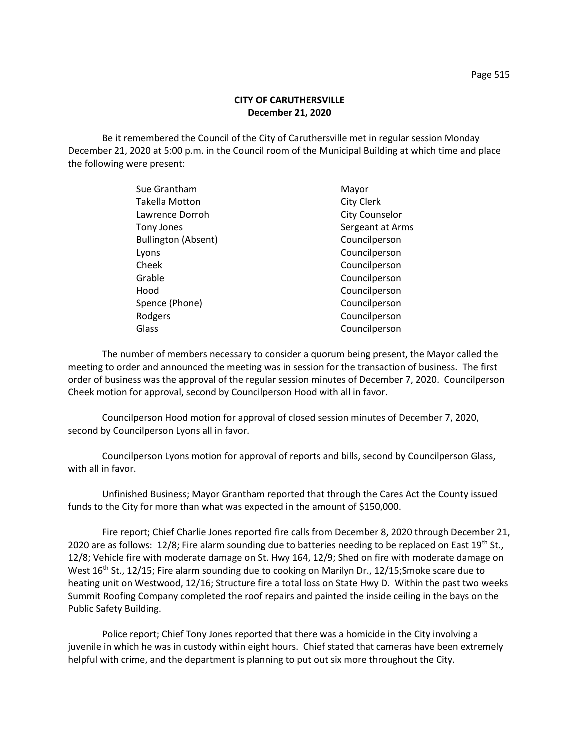## **CITY OF CARUTHERSVILLE December 21, 2020**

Be it remembered the Council of the City of Caruthersville met in regular session Monday December 21, 2020 at 5:00 p.m. in the Council room of the Municipal Building at which time and place the following were present:

| Mayor                 |
|-----------------------|
| <b>City Clerk</b>     |
| <b>City Counselor</b> |
| Sergeant at Arms      |
| Councilperson         |
| Councilperson         |
| Councilperson         |
| Councilperson         |
| Councilperson         |
| Councilperson         |
| Councilperson         |
| Councilperson         |
|                       |

The number of members necessary to consider a quorum being present, the Mayor called the meeting to order and announced the meeting was in session for the transaction of business. The first order of business was the approval of the regular session minutes of December 7, 2020. Councilperson Cheek motion for approval, second by Councilperson Hood with all in favor.

Councilperson Hood motion for approval of closed session minutes of December 7, 2020, second by Councilperson Lyons all in favor.

Councilperson Lyons motion for approval of reports and bills, second by Councilperson Glass, with all in favor.

Unfinished Business; Mayor Grantham reported that through the Cares Act the County issued funds to the City for more than what was expected in the amount of \$150,000.

Fire report; Chief Charlie Jones reported fire calls from December 8, 2020 through December 21, 2020 are as follows: 12/8; Fire alarm sounding due to batteries needing to be replaced on East  $19^{th}$  St., 12/8; Vehicle fire with moderate damage on St. Hwy 164, 12/9; Shed on fire with moderate damage on West 16<sup>th</sup> St., 12/15; Fire alarm sounding due to cooking on Marilyn Dr., 12/15; Smoke scare due to heating unit on Westwood, 12/16; Structure fire a total loss on State Hwy D. Within the past two weeks Summit Roofing Company completed the roof repairs and painted the inside ceiling in the bays on the Public Safety Building.

Police report; Chief Tony Jones reported that there was a homicide in the City involving a juvenile in which he was in custody within eight hours. Chief stated that cameras have been extremely helpful with crime, and the department is planning to put out six more throughout the City.